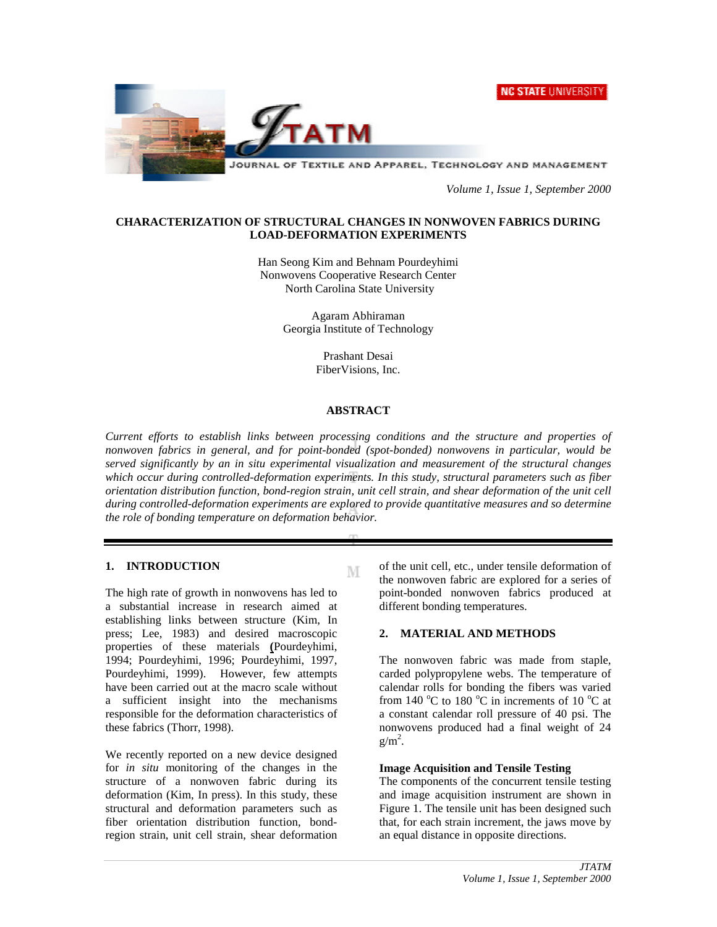



JOURNAL OF TEXTILE AND APPAREL, TECHNOLOGY AND MANAGEMENT

*Volume 1, Issue 1, September 2000*

## **CHARACTERIZATION OF STRUCTURAL CHANGES IN NONWOVEN FABRICS DURING LOAD-DEFORMATION EXPERIMENTS**

Han Seong Kim and Behnam Pourdeyhimi Nonwovens Cooperative Research Center North Carolina State University

> Agaram Abhiraman Georgia Institute of Technology

> > Prashant Desai FiberVisions, Inc.

#### **ABSTRACT**

*Current efforts to establish links between processing conditions and the structure and properties of nonwoven fabrics in general, and for point-bonded (spot-bonded) nonwovens in particular, would be served significantly by an in situ experimental visualization and measurement of the structural changes which occur during controlled-deformation experiments. In this study, structural parameters such as fiber orientation distribution function, bond-region strain, unit cell strain, and shear deformation of the unit cell during controlled-deformation experiments are explored to provide quantitative measures and so determine the role of bonding temperature on deformation behavior.*

M

## **1. INTRODUCTION**

The high rate of growth in nonwovens has led to a substantial increase in research aimed at establishing links between structure (Kim, In press; Lee, 1983) and desired macroscopic properties of these materials **(**Pourdeyhimi, 1994; Pourdeyhimi, 1996; Pourdeyhimi, 1997, Pourdeyhimi, 1999). However, few attempts have been carried out at the macro scale without a sufficient insight into the mechanisms responsible for the deformation characteristics of these fabrics (Thorr, 1998).

We recently reported on a new device designed for *in situ* monitoring of the changes in the structure of a nonwoven fabric during its deformation (Kim, In press). In this study, these structural and deformation parameters such as fiber orientation distribution function, bondregion strain, unit cell strain, shear deformation

of the unit cell, etc., under tensile deformation of the nonwoven fabric are explored for a series of point-bonded nonwoven fabrics produced at different bonding temperatures.

## **2. MATERIAL AND METHODS**

The nonwoven fabric was made from staple, carded polypropylene webs. The temperature of calendar rolls for bonding the fibers was varied from 140  $^{\circ}$ C to 180  $^{\circ}$ C in increments of 10  $^{\circ}$ C at a constant calendar roll pressure of 40 psi. The nonwovens produced had a final weight of 24  $g/m<sup>2</sup>$ .

#### **Image Acquisition and Tensile Testing**

The components of the concurrent tensile testing and image acquisition instrument are shown in Figure 1. The tensile unit has been designed such that, for each strain increment, the jaws move by an equal distance in opposite directions.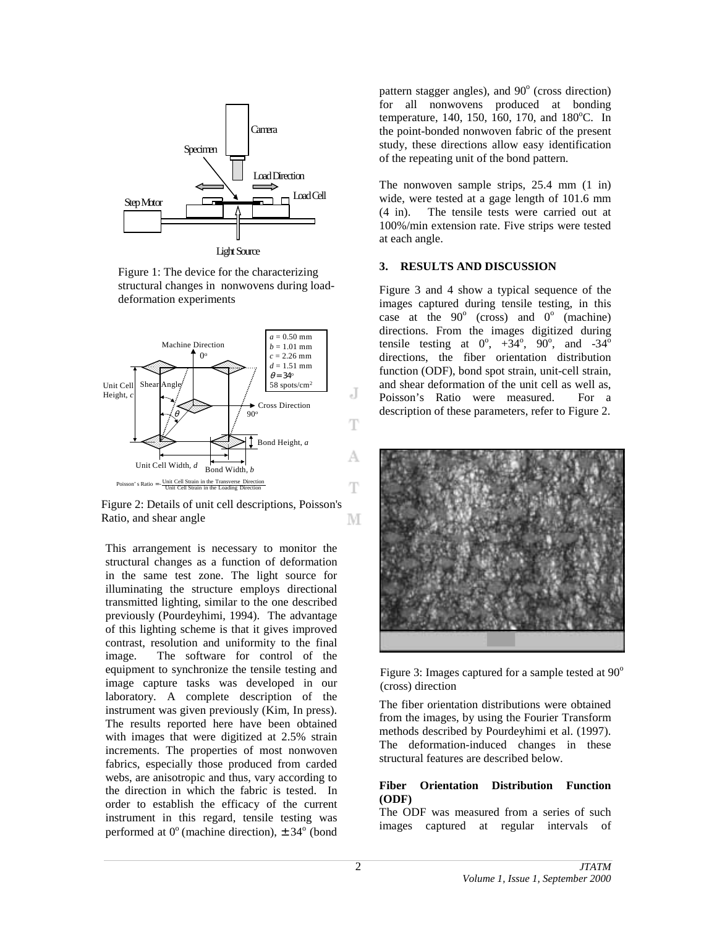

Figure 1: The device for the characterizing structural changes in nonwovens during loaddeformation experiments



Figure 2: Details of unit cell descriptions, Poisson's Ratio, and shear angle М

This arrangement is necessary to monitor the structural changes as a function of deformation in the same test zone. The light source for illuminating the structure employs directional transmitted lighting, similar to the one described previously (Pourdeyhimi, 1994). The advantage of this lighting scheme is that it gives improved contrast, resolution and uniformity to the final image. The software for control of the equipment to synchronize the tensile testing and image capture tasks was developed in our laboratory. A complete description of the instrument was given previously (Kim, In press). The results reported here have been obtained with images that were digitized at 2.5% strain increments. The properties of most nonwoven fabrics, especially those produced from carded webs, are anisotropic and thus, vary according to the direction in which the fabric is tested. In order to establish the efficacy of the current instrument in this regard, tensile testing was performed at  $0^{\circ}$  (machine direction),  $\pm 34^{\circ}$  (bond

pattern stagger angles), and 90° (cross direction) for all nonwovens produced at bonding temperature, 140, 150, 160, 170, and  $180^{\circ}$ C. In the point-bonded nonwoven fabric of the present study, these directions allow easy identification of the repeating unit of the bond pattern.

The nonwoven sample strips, 25.4 mm  $(1 \text{ in})$ wide, were tested at a gage length of 101.6 mm (4 in). The tensile tests were carried out at 100%/min extension rate. Five strips were tested at each angle.

#### **3. RESULTS AND DISCUSSION**

Figure 3 and 4 show a typical sequence of the images captured during tensile testing, in this case at the  $90^\circ$  (cross) and  $0^\circ$  (machine) directions. From the images digitized during tensile testing at  $0^\circ$ ,  $+34^\circ$ ,  $90^\circ$ , and  $-34^\circ$ directions, the fiber orientation distribution function (ODF), bond spot strain, unit-cell strain, and shear deformation of the unit cell as well as, Poisson's Ratio were measured. For a description of these parameters, refer to Figure 2.



Figure 3: Images captured for a sample tested at  $90^{\circ}$ (cross) direction

The fiber orientation distributions were obtained from the images, by using the Fourier Transform methods described by Pourdeyhimi et al. (1997). The deformation-induced changes in these structural features are described below.

## **Fiber Orientation Distribution Function (ODF)**

The ODF was measured from a series of such images captured at regular intervals of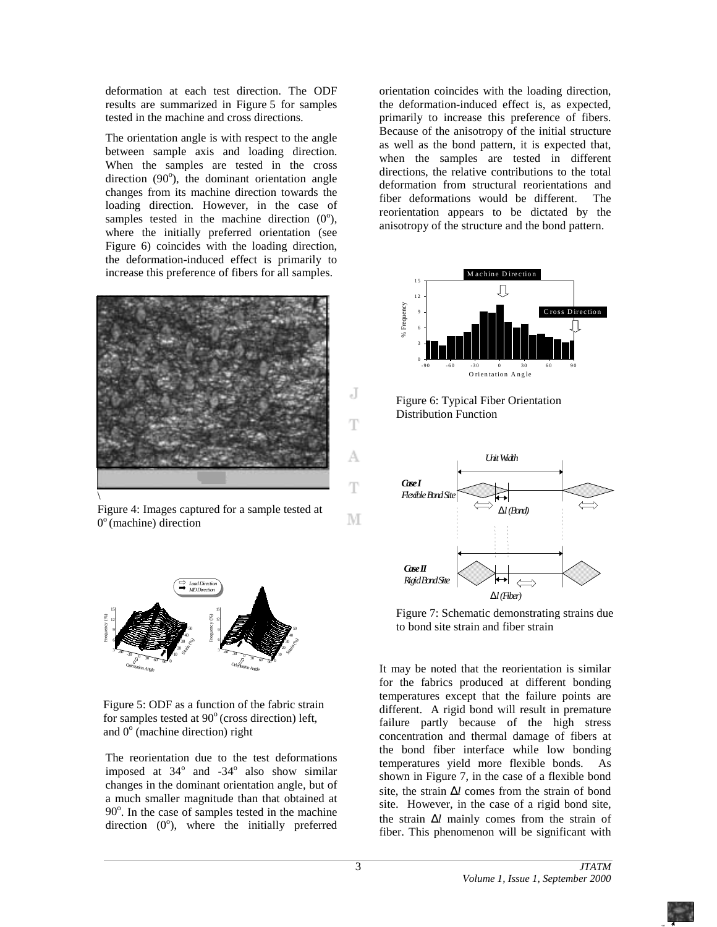deformation at each test direction. The ODF results are summarized in Figure 5 for samples tested in the machine and cross directions.

The orientation angle is with respect to the angle between sample axis and loading direction. When the samples are tested in the cross direction  $(90^{\circ})$ , the dominant orientation angle changes from its machine direction towards the loading direction. However, in the case of samples tested in the machine direction  $(0^{\circ})$ , where the initially preferred orientation (see Figure 6) coincides with the loading direction, the deformation-induced effect is primarily to increase this preference of fibers for all samples.



Figure 4: Images captured for a sample tested at  $0^{\circ}$  (machine) direction





The reorientation due to the test deformations imposed at  $34^\circ$  and  $-34^\circ$  also show similar changes in the dominant orientation angle, but of a much smaller magnitude than that obtained at 90<sup>°</sup>. In the case of samples tested in the machine direction  $(0^{\circ})$ , where the initially preferred

orientation coincides with the loading direction, the deformation-induced effect is, as expected, primarily to increase this preference of fibers. Because of the anisotropy of the initial structure as well as the bond pattern, it is expected that, when the samples are tested in different directions, the relative contributions to the total deformation from structural reorientations and fiber deformations would be different. The reorientation appears to be dictated by the anisotropy of the structure and the bond pattern.



Figure 6: Typical Fiber Orientation Distribution Function



Figure 7: Schematic demonstrating strains due to bond site strain and fiber strain

It may be noted that the reorientation is similar for the fabrics produced at different bonding temperatures except that the failure points are different. A rigid bond will result in premature failure partly because of the high stress concentration and thermal damage of fibers at the bond fiber interface while low bonding temperatures yield more flexible bonds. As shown in Figure 7, in the case of a flexible bond site, the strain ∆*l* comes from the strain of bond site. However, in the case of a rigid bond site, the strain ∆*l* mainly comes from the strain of fiber. This phenomenon will be significant with

3

J

Ŧ

А

T

М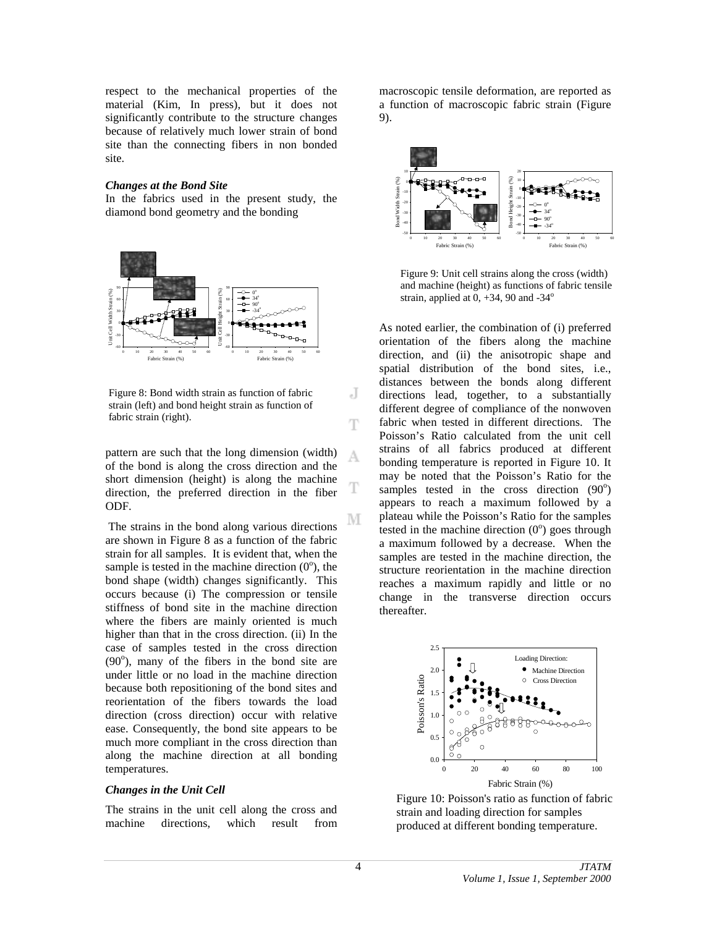respect to the mechanical properties of the material (Kim, In press), but it does not significantly contribute to the structure changes because of relatively much lower strain of bond site than the connecting fibers in non bonded site.

#### *Changes at the Bond Site*

In the fabrics used in the present study, the diamond bond geometry and the bonding



Figure 8: Bond width strain as function of fabric strain (left) and bond height strain as function of fabric strain (right).

pattern are such that the long dimension (width) of the bond is along the cross direction and the short dimension (height) is along the machine direction, the preferred direction in the fiber ODF.

 The strains in the bond along various directions are shown in Figure 8 as a function of the fabric strain for all samples. It is evident that, when the sample is tested in the machine direction  $(0^{\circ})$ , the bond shape (width) changes significantly. This occurs because (i) The compression or tensile stiffness of bond site in the machine direction where the fibers are mainly oriented is much higher than that in the cross direction. (ii) In the case of samples tested in the cross direction  $(90^{\circ})$ , many of the fibers in the bond site are under little or no load in the machine direction because both repositioning of the bond sites and reorientation of the fibers towards the load direction (cross direction) occur with relative ease. Consequently, the bond site appears to be much more compliant in the cross direction than along the machine direction at all bonding temperatures.

## *Changes in the Unit Cell*

The strains in the unit cell along the cross and machine directions, which result from macroscopic tensile deformation, are reported as a function of macroscopic fabric strain (Figure 9).



Figure 9: Unit cell strains along the cross (width) and machine (height) as functions of fabric tensile strain, applied at  $0, +34, 90$  and  $-34^\circ$ 

As noted earlier, the combination of (i) preferred orientation of the fibers along the machine direction, and (ii) the anisotropic shape and spatial distribution of the bond sites, i.e., distances between the bonds along different directions lead, together, to a substantially different degree of compliance of the nonwoven fabric when tested in different directions. The Poisson's Ratio calculated from the unit cell strains of all fabrics produced at different bonding temperature is reported in Figure 10. It may be noted that the Poisson's Ratio for the samples tested in the cross direction  $(90^{\circ})$ appears to reach a maximum followed by a plateau while the Poisson's Ratio for the samples tested in the machine direction  $(0^{\circ})$  goes through a maximum followed by a decrease. When the samples are tested in the machine direction, the structure reorientation in the machine direction reaches a maximum rapidly and little or no change in the transverse direction occurs thereafter.



Figure 10: Poisson's ratio as function of fabric strain and loading direction for samples produced at different bonding temperature.

J

Ŧ

А

М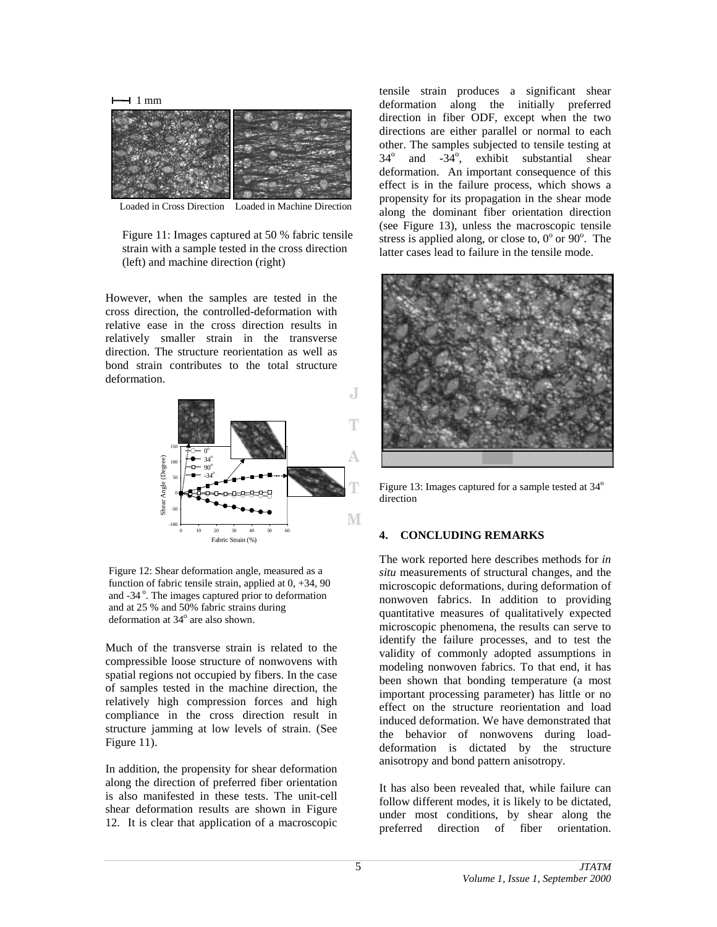

Loaded in Cross Direction Loaded in Machine Direction

Figure 11: Images captured at 50 % fabric tensile strain with a sample tested in the cross direction (left) and machine direction (right)

However, when the samples are tested in the cross direction, the controlled-deformation with relative ease in the cross direction results in relatively smaller strain in the transverse direction. The structure reorientation as well as bond strain contributes to the total structure deformation.



Figure 12: Shear deformation angle, measured as a function of fabric tensile strain, applied at 0, +34, 90 and -34°. The images captured prior to deformation and at 25 % and 50% fabric strains during deformation at 34° are also shown.

Much of the transverse strain is related to the compressible loose structure of nonwovens with spatial regions not occupied by fibers. In the case of samples tested in the machine direction, the relatively high compression forces and high compliance in the cross direction result in structure jamming at low levels of strain. (See Figure 11).

In addition, the propensity for shear deformation along the direction of preferred fiber orientation is also manifested in these tests. The unit-cell shear deformation results are shown in Figure 12. It is clear that application of a macroscopic

tensile strain produces a significant shear deformation along the initially preferred direction in fiber ODF, except when the two directions are either parallel or normal to each other. The samples subjected to tensile testing at  $34^\circ$ and  $-34^\circ$ , exhibit substantial shear deformation. An important consequence of this effect is in the failure process, which shows a propensity for its propagation in the shear mode along the dominant fiber orientation direction (see Figure 13), unless the macroscopic tensile stress is applied along, or close to,  $0^{\circ}$  or  $90^{\circ}$ . The latter cases lead to failure in the tensile mode.



Figure 13: Images captured for a sample tested at 34<sup>o</sup> direction

## **4. CONCLUDING REMARKS**

The work reported here describes methods for *in situ* measurements of structural changes, and the microscopic deformations, during deformation of nonwoven fabrics. In addition to providing quantitative measures of qualitatively expected microscopic phenomena, the results can serve to identify the failure processes, and to test the validity of commonly adopted assumptions in modeling nonwoven fabrics. To that end, it has been shown that bonding temperature (a most important processing parameter) has little or no effect on the structure reorientation and load induced deformation. We have demonstrated that the behavior of nonwovens during loaddeformation is dictated by the structure anisotropy and bond pattern anisotropy.

It has also been revealed that, while failure can follow different modes, it is likely to be dictated, under most conditions, by shear along the preferred direction of fiber orientation.